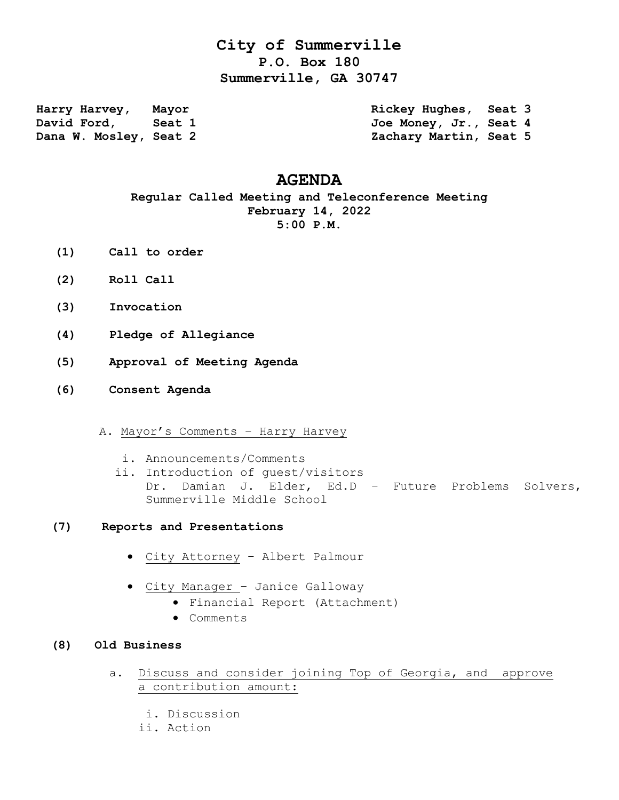# **City of Summerville P.O. Box 180 Summerville, GA 30747**

**Harry Harvey, Mayor Rickey Hughes, Seat 3** David Ford, Seat 1 300 Joe Money, Jr., Seat 4 **Dana W. Mosley, Seat 2 Zachary Martin, Seat 5** 

## **AGENDA**

### **Regular Called Meeting and Teleconference Meeting February 14, 2022 5:00 P.M.**

- **(1) Call to order**
- **(2) Roll Call**
- **(3) Invocation**
- **(4) Pledge of Allegiance**
- **(5) Approval of Meeting Agenda**
- **(6) Consent Agenda**
	- A. Mayor's Comments Harry Harvey
		- i. Announcements/Comments
		- ii. Introduction of guest/visitors Dr. Damian J. Elder, Ed.D – Future Problems Solvers, Summerville Middle School

#### **(7) Reports and Presentations**

- City Attorney Albert Palmour
- City Manager Janice Galloway
	- Financial Report (Attachment)
	- Comments
- **(8) Old Business**
	- a. Discuss and consider joining Top of Georgia, and approve a contribution amount:
		- i. Discussion
		- ii. Action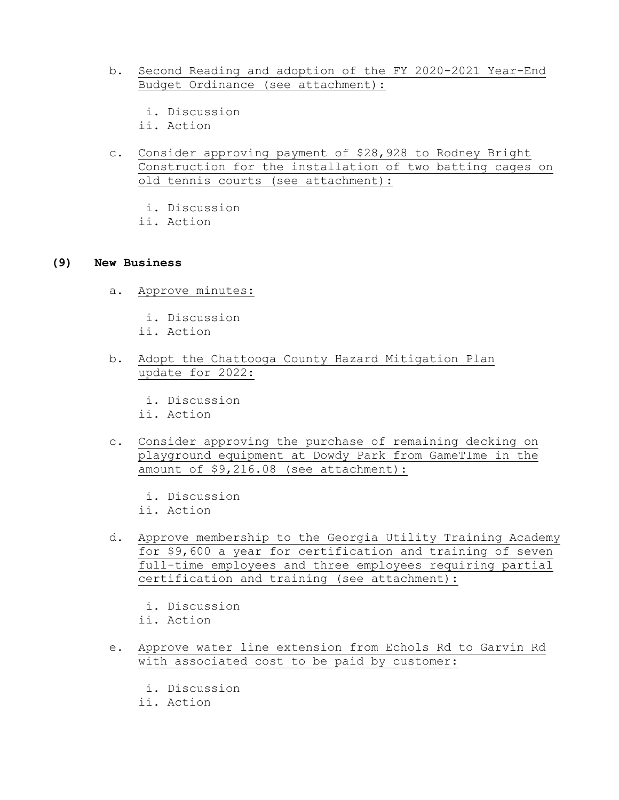- b. Second Reading and adoption of the FY 2020-2021 Year-End Budget Ordinance (see attachment):
	- i. Discussion
	- ii. Action
- c. Consider approving payment of \$28,928 to Rodney Bright Construction for the installation of two batting cages on old tennis courts (see attachment):
	- i. Discussion
	- ii. Action

### **(9) New Business**

- a. Approve minutes:
	- i. Discussion
	- ii. Action
- b. Adopt the Chattooga County Hazard Mitigation Plan update for 2022:
	- i. Discussion
	- ii. Action
- c. Consider approving the purchase of remaining decking on playground equipment at Dowdy Park from GameTIme in the amount of \$9,216.08 (see attachment):
	- i. Discussion ii. Action
- d. Approve membership to the Georgia Utility Training Academy for \$9,600 a year for certification and training of seven full-time employees and three employees requiring partial certification and training (see attachment):
	- i. Discussion
	- ii. Action
- e. Approve water line extension from Echols Rd to Garvin Rd with associated cost to be paid by customer:
	- i. Discussion
	- ii. Action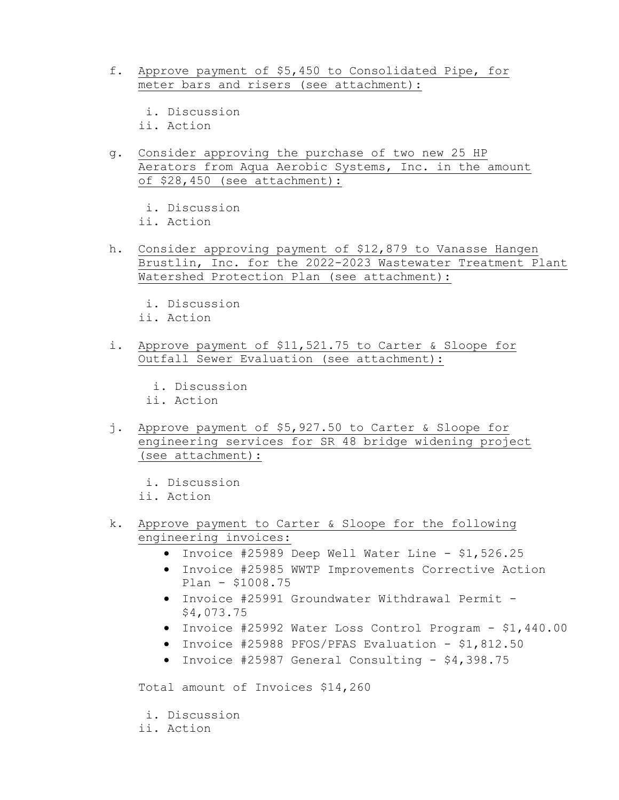- f. Approve payment of \$5,450 to Consolidated Pipe, for meter bars and risers (see attachment):
	- i. Discussion
	- ii. Action
- g. Consider approving the purchase of two new 25 HP Aerators from Aqua Aerobic Systems, Inc. in the amount of \$28,450 (see attachment):
	- i. Discussion
	- ii. Action
- h. Consider approving payment of \$12,879 to Vanasse Hangen Brustlin, Inc. for the 2022-2023 Wastewater Treatment Plant Watershed Protection Plan (see attachment):
	- i. Discussion
	- ii. Action
- i. Approve payment of \$11,521.75 to Carter & Sloope for Outfall Sewer Evaluation (see attachment):
	- i. Discussion
	- ii. Action
- j. Approve payment of \$5,927.50 to Carter & Sloope for engineering services for SR 48 bridge widening project (see attachment):
	- i. Discussion
	- ii. Action
- k. Approve payment to Carter & Sloope for the following engineering invoices:
	- Invoice #25989 Deep Well Water Line \$1,526.25
	- Invoice #25985 WWTP Improvements Corrective Action Plan - \$1008.75
	- Invoice #25991 Groundwater Withdrawal Permit \$4,073.75
	- Invoice #25992 Water Loss Control Program \$1,440.00
	- Invoice #25988 PFOS/PFAS Evaluation \$1,812.50
	- Invoice #25987 General Consulting \$4,398.75

Total amount of Invoices \$14,260

 i. Discussion ii. Action